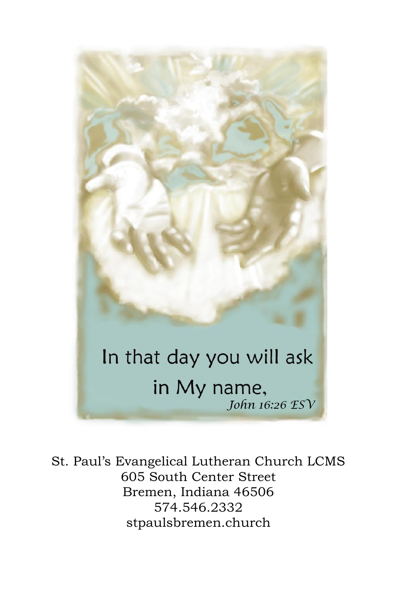# In that day you will ask in My name, *John 16:26 ESV*

St. Paul's Evangelical Lutheran Church LCMS 605 South Center Street Bremen, Indiana 46506 574.546.2332 stpaulsbremen.church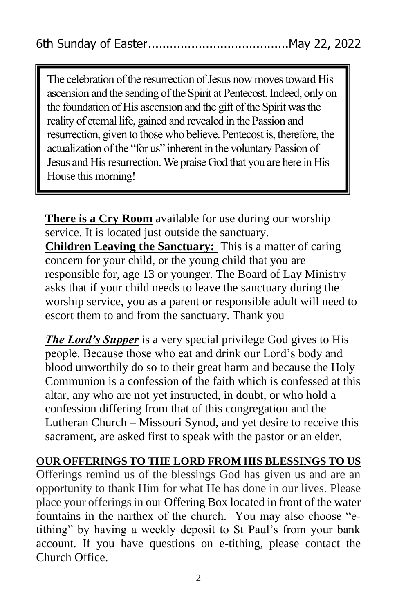The celebration of the resurrection of Jesus now moves toward His ascension and the sending of the Spirit at Pentecost. Indeed, only on the foundation of His ascension and the gift of the Spirit was the reality of eternal life, gained and revealed in the Passion and resurrection, given to those who believe. Pentecost is, therefore, the actualization of the "for us" inherent in the voluntary Passion of Jesus and His resurrection. We praise God that you are here in His House this morning!

**There is a Cry Room** available for use during our worship service. It is located just outside the sanctuary. **Children Leaving the Sanctuary:** This is a matter of caring concern for your child, or the young child that you are responsible for, age 13 or younger. The Board of Lay Ministry asks that if your child needs to leave the sanctuary during the worship service, you as a parent or responsible adult will need to escort them to and from the sanctuary. Thank you

*The Lord's Supper* is a very special privilege God gives to His people. Because those who eat and drink our Lord's body and blood unworthily do so to their great harm and because the Holy Communion is a confession of the faith which is confessed at this altar, any who are not yet instructed, in doubt, or who hold a confession differing from that of this congregation and the Lutheran Church – Missouri Synod, and yet desire to receive this sacrament, are asked first to speak with the pastor or an elder.

## **OUR OFFERINGS TO THE LORD FROM HIS BLESSINGS TO US**

Offerings remind us of the blessings God has given us and are an opportunity to thank Him for what He has done in our lives. Please place your offerings in our Offering Box located in front of the water fountains in the narthex of the church. You may also choose "etithing" by having a weekly deposit to St Paul's from your bank account. If you have questions on e-tithing, please contact the Church Office.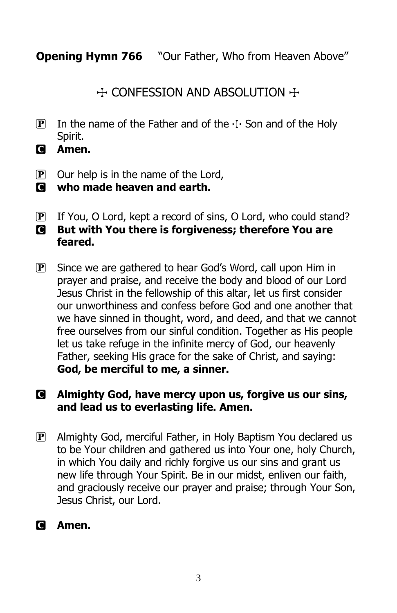**Opening Hymn 766** "Our Father, Who from Heaven Above"

 $\div$  CONFESSION AND ABSOLUTION  $\div$ 

- **P** In the name of the Father and of the  $\pm$  Son and of the Holy Spirit.
- C **Amen.**
- $\overline{P}$  Our help is in the name of the Lord,
- $\blacksquare$  who made heaven and earth.
- P If You, O Lord, kept a record of sins, O Lord, who could stand? C **But with You there is forgiveness; therefore You are feared.**
- $\overline{P}$  Since we are gathered to hear God's Word, call upon Him in prayer and praise, and receive the body and blood of our Lord Jesus Christ in the fellowship of this altar, let us first consider our unworthiness and confess before God and one another that we have sinned in thought, word, and deed, and that we cannot free ourselves from our sinful condition. Together as His people let us take refuge in the infinite mercy of God, our heavenly Father, seeking His grace for the sake of Christ, and saying: **God, be merciful to me, a sinner.**

## C **Almighty God, have mercy upon us, forgive us our sins, and lead us to everlasting life. Amen.**

P Almighty God, merciful Father, in Holy Baptism You declared us to be Your children and gathered us into Your one, holy Church, in which You daily and richly forgive us our sins and grant us new life through Your Spirit. Be in our midst, enliven our faith, and graciously receive our prayer and praise; through Your Son, Jesus Christ, our Lord.

## C **Amen.**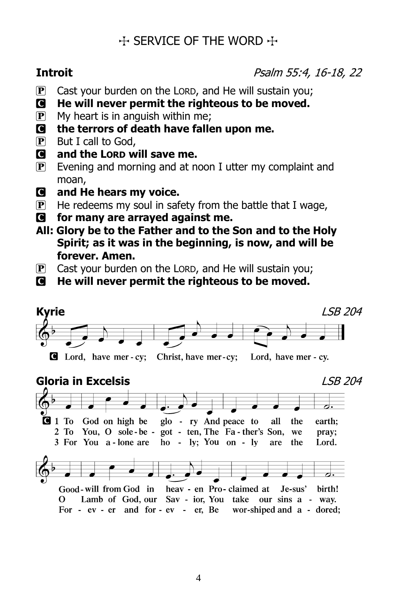## $\div$  SERVICE OF THE WORD  $\div$

**Introit** Psalm 55:4, 16-18, 22

- $\mathbf{P}$  Cast your burden on the LORD, and He will sustain you;
- C **He will never permit the righteous to be moved.**
- $\mathbf{P}$  My heart is in anguish within me;
- C **the terrors of death have fallen upon me.**
- P But I call to God,
- C **and the LORD will save me.**
- $\mathbf{P}$  Evening and morning and at noon I utter my complaint and moan,
- C **and He hears my voice.**
- $\mathbf{P}$  He redeems my soul in safety from the battle that I wage,
- C **for many are arrayed against me.**
- **All: Glory be to the Father and to the Son and to the Holy Spirit; as it was in the beginning, is now, and will be forever. Amen.**
- $\overline{P}$  Cast your burden on the LORD, and He will sustain you;
- C **He will never permit the righteous to be moved.**



## **Gloria in Excelsis** LSB 204



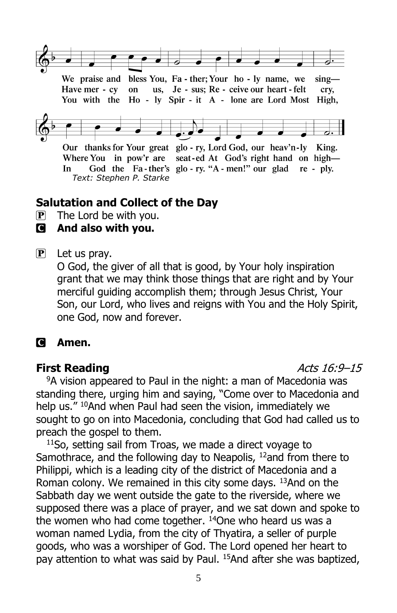

We praise and bless You, Fa - ther; Your ho - ly name, we  $sing-$ Have mer - cy on us, Je - sus; Re - ceive our heart - felt crv. You with the Ho - ly Spir - it A - lone are Lord Most High,



Our thanks for Your great glo - ry, Lord God, our heav'n-ly King. Where You in pow'r are seat-ed At God's right hand on high— God the Fa-ther's glo-ry. "A-men!" our glad re-ply. In *Text: Stephen P. Starke*

## **Salutation and Collect of the Day**

 $\mathbf{P}$  The Lord be with you.

## C **And also with you.**

 $\left| \mathbf{P} \right|$  Let us pray.

O God, the giver of all that is good, by Your holy inspiration grant that we may think those things that are right and by Your merciful guiding accomplish them; through Jesus Christ, Your Son, our Lord, who lives and reigns with You and the Holy Spirit, one God, now and forever.

## C **Amen.**

## **First Reading Acts 16:9–15**

<sup>9</sup>A vision appeared to Paul in the night: a man of Macedonia was standing there, urging him and saying, "Come over to Macedonia and help us." <sup>10</sup>And when Paul had seen the vision, immediately we sought to go on into Macedonia, concluding that God had called us to preach the gospel to them.

<sup>11</sup>So, setting sail from Troas, we made a direct voyage to Samothrace, and the following day to Neapolis,  $12$  and from there to Philippi, which is a leading city of the district of Macedonia and a Roman colony. We remained in this city some days. <sup>13</sup>And on the Sabbath day we went outside the gate to the riverside, where we supposed there was a place of prayer, and we sat down and spoke to the women who had come together.  $14$ One who heard us was a woman named Lydia, from the city of Thyatira, a seller of purple goods, who was a worshiper of God. The Lord opened her heart to pay attention to what was said by Paul. <sup>15</sup>And after she was baptized,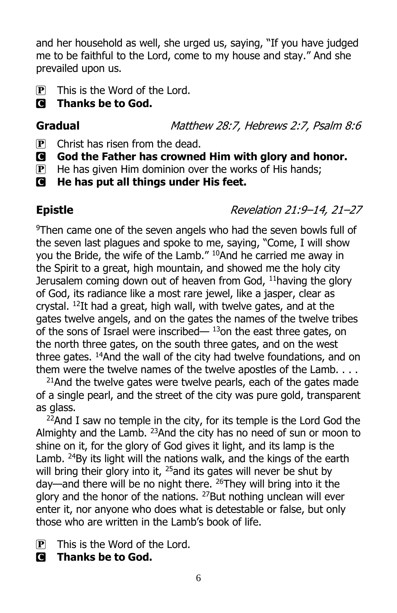and her household as well, she urged us, saying, "If you have judged me to be faithful to the Lord, come to my house and stay." And she prevailed upon us.

- $\mathbf{P}$  This is the Word of the Lord.
- C **Thanks be to God.**

Gradual **Gradual** Matthew 28:7, Hebrews 2:7, Psalm 8:6

- $\mathbf{P}$  Christ has risen from the dead.
- C **God the Father has crowned Him with glory and honor.**
- $\mathbf{P}$  He has given Him dominion over the works of His hands;
- C **He has put all things under His feet.**

**Epistle** Revelation 21:9–14, 21–27

<sup>9</sup>Then came one of the seven angels who had the seven bowls full of the seven last plagues and spoke to me, saying, "Come, I will show you the Bride, the wife of the Lamb." <sup>10</sup>And he carried me away in the Spirit to a great, high mountain, and showed me the holy city Jerusalem coming down out of heaven from God, <sup>11</sup>having the glory of God, its radiance like a most rare jewel, like a jasper, clear as crystal. <sup>12</sup>It had a great, high wall, with twelve gates, and at the gates twelve angels, and on the gates the names of the twelve tribes of the sons of Israel were inscribed— $13$ on the east three gates, on the north three gates, on the south three gates, and on the west three gates. <sup>14</sup>And the wall of the city had twelve foundations, and on them were the twelve names of the twelve apostles of the Lamb. . . .

 $21$ And the twelve gates were twelve pearls, each of the gates made of a single pearl, and the street of the city was pure gold, transparent as glass.

 $22$ And I saw no temple in the city, for its temple is the Lord God the Almighty and the Lamb. <sup>23</sup>And the city has no need of sun or moon to shine on it, for the glory of God gives it light, and its lamp is the Lamb. <sup>24</sup>By its light will the nations walk, and the kings of the earth will bring their glory into it,  $25$  and its gates will never be shut by day—and there will be no night there.  $^{26}$ They will bring into it the glory and the honor of the nations. <sup>27</sup>But nothing unclean will ever enter it, nor anyone who does what is detestable or false, but only those who are written in the Lamb's book of life.

- $\mathbf{P}$  This is the Word of the Lord.
- C **Thanks be to God.**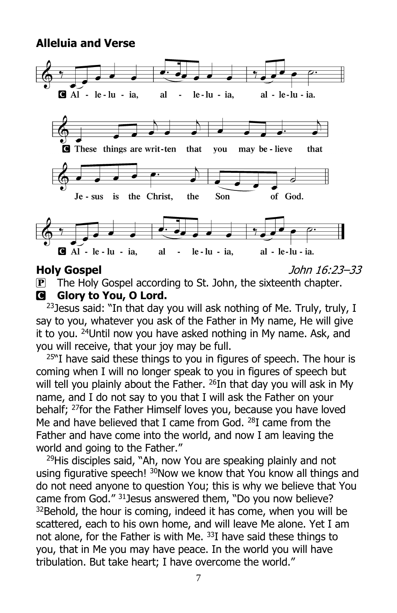## **Alleluia and Verse**



**Holy Gospel** John 16:23–33

**P** The Holy Gospel according to St. John, the sixteenth chapter. C **Glory to You, O Lord.**

<sup>23</sup> Jesus said: "In that day you will ask nothing of Me. Truly, truly, I say to you, whatever you ask of the Father in My name, He will give it to you. <sup>24</sup>Until now you have asked nothing in My name. Ask, and you will receive, that your joy may be full.

 $25$ "I have said these things to you in figures of speech. The hour is coming when I will no longer speak to you in figures of speech but will tell you plainly about the Father. <sup>26</sup>In that day you will ask in My name, and I do not say to you that I will ask the Father on your behalf; <sup>27</sup>for the Father Himself loves you, because you have loved Me and have believed that I came from God. <sup>28</sup>I came from the Father and have come into the world, and now I am leaving the world and going to the Father."

<sup>29</sup>His disciples said, "Ah, now You are speaking plainly and not using figurative speech! <sup>30</sup>Now we know that You know all things and do not need anyone to question You; this is why we believe that You came from God." <sup>31</sup>Jesus answered them, "Do you now believe?  $32$ Behold, the hour is coming, indeed it has come, when you will be scattered, each to his own home, and will leave Me alone. Yet I am not alone, for the Father is with Me. <sup>33</sup>I have said these things to you, that in Me you may have peace. In the world you will have tribulation. But take heart; I have overcome the world."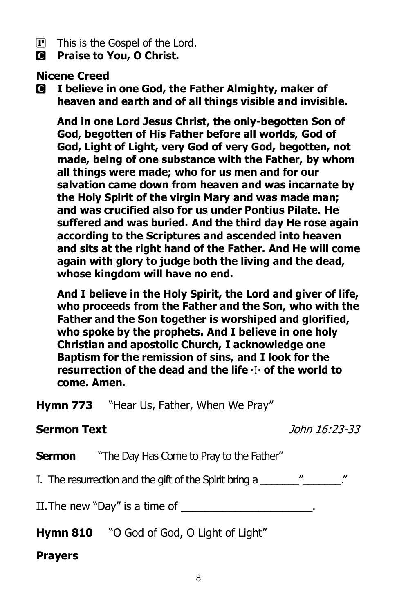- P This is the Gospel of the Lord.
- C **Praise to You, O Christ.**

## **Nicene Creed**

C **I believe in one God, the Father Almighty, maker of heaven and earth and of all things visible and invisible.**

**And in one Lord Jesus Christ, the only-begotten Son of God, begotten of His Father before all worlds, God of God, Light of Light, very God of very God, begotten, not made, being of one substance with the Father, by whom all things were made; who for us men and for our salvation came down from heaven and was incarnate by the Holy Spirit of the virgin Mary and was made man; and was crucified also for us under Pontius Pilate. He suffered and was buried. And the third day He rose again according to the Scriptures and ascended into heaven and sits at the right hand of the Father. And He will come again with glory to judge both the living and the dead, whose kingdom will have no end.**

**And I believe in the Holy Spirit, the Lord and giver of life, who proceeds from the Father and the Son, who with the Father and the Son together is worshiped and glorified, who spoke by the prophets. And I believe in one holy Christian and apostolic Church, I acknowledge one Baptism for the remission of sins, and I look for the resurrection of the dead and the life** T **of the world to come. Amen.**

**Hymn 773** "Hear Us, Father, When We Pray"

## **Sermon Text** John 16:23-33

**Sermon** "The Day Has Come to Pray to the Father"

I. The resurrection and the gift of the Spirit bring a  $\hspace{1cm}$  "

II. The new "Day" is a time of  $\blacksquare$ 

**Hymn 810** "O God of God, O Light of Light"

## **Prayers**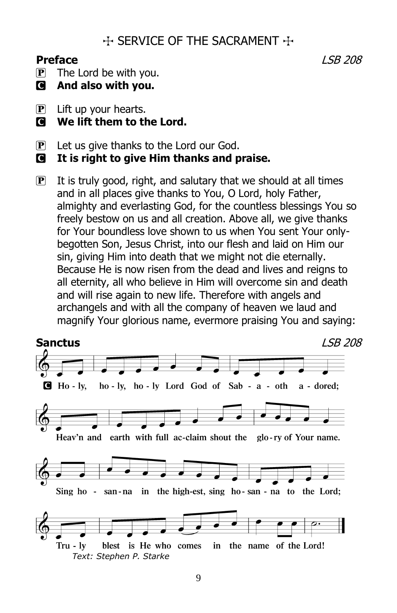## $\div$  SERVICE OF THE SACRAMENT  $\div$

## **Preface** LSB 208

 $\overline{P}$  The Lord be with you.

- C **And also with you.**
- $\mathbf{P}$  Lift up your hearts.
- $\blacksquare$  We lift them to the Lord.
- $\left| \mathbf{P} \right|$  Let us give thanks to the Lord our God.
- C **It is right to give Him thanks and praise.**
- $\overline{P}$  It is truly good, right, and salutary that we should at all times and in all places give thanks to You, O Lord, holy Father, almighty and everlasting God, for the countless blessings You so freely bestow on us and all creation. Above all, we give thanks for Your boundless love shown to us when You sent Your onlybegotten Son, Jesus Christ, into our flesh and laid on Him our sin, giving Him into death that we might not die eternally. Because He is now risen from the dead and lives and reigns to all eternity, all who believe in Him will overcome sin and death and will rise again to new life. Therefore with angels and archangels and with all the company of heaven we laud and magnify Your glorious name, evermore praising You and saying:

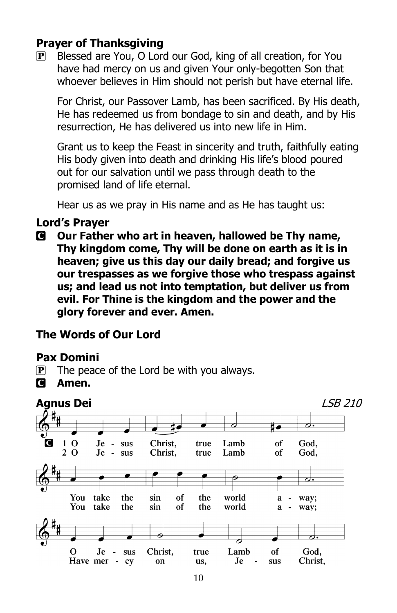## **Prayer of Thanksgiving**

 $\mathbf{P}$  Blessed are You, O Lord our God, king of all creation, for You have had mercy on us and given Your only-begotten Son that whoever believes in Him should not perish but have eternal life.

For Christ, our Passover Lamb, has been sacrificed. By His death, He has redeemed us from bondage to sin and death, and by His resurrection, He has delivered us into new life in Him.

Grant us to keep the Feast in sincerity and truth, faithfully eating His body given into death and drinking His life's blood poured out for our salvation until we pass through death to the promised land of life eternal.

Hear us as we pray in His name and as He has taught us:

## **Lord's Prayer**

C **Our Father who art in heaven, hallowed be Thy name, Thy kingdom come, Thy will be done on earth as it is in heaven; give us this day our daily bread; and forgive us our trespasses as we forgive those who trespass against us; and lead us not into temptation, but deliver us from evil. For Thine is the kingdom and the power and the glory forever and ever. Amen.**

## **The Words of Our Lord**

## **Pax Domini**

- $\mathbf{P}$  The peace of the Lord be with you always.
- C **Amen.**

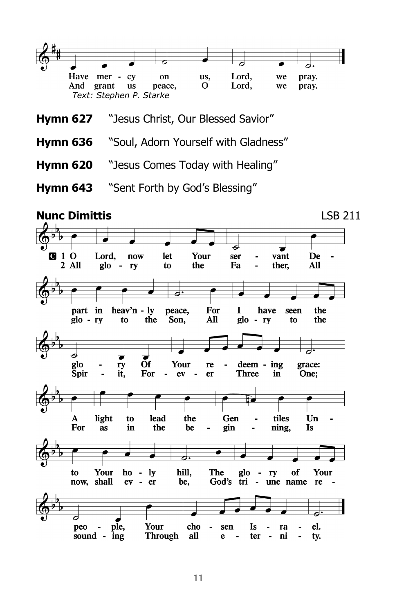

- **Hymn 636** "Soul, Adorn Yourself with Gladness"
- **Hymn 620** "Jesus Comes Today with Healing"
- **Hymn 643** "Sent Forth by God's Blessing"

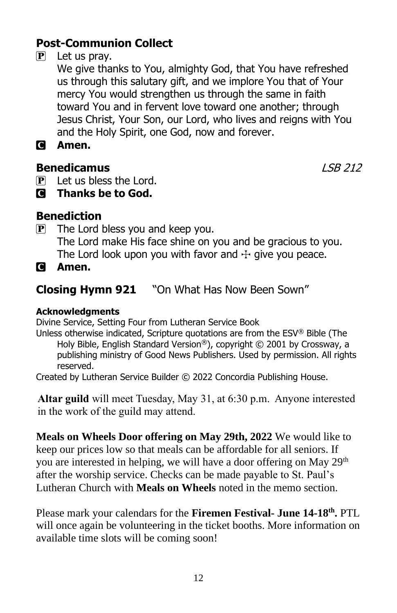## **Post-Communion Collect**

## $[P]$  Let us pray.

We give thanks to You, almighty God, that You have refreshed us through this salutary gift, and we implore You that of Your mercy You would strengthen us through the same in faith toward You and in fervent love toward one another; through Jesus Christ, Your Son, our Lord, who lives and reigns with You and the Holy Spirit, one God, now and forever.

C **Amen.**

## **Benedicamus** LSB 212

- P Let us bless the Lord.
- C **Thanks be to God.**

## **Benediction**

 $\mathbf{P}$  The Lord bless you and keep you. The Lord make His face shine on you and be gracious to you. The Lord look upon you with favor and  $\pm$  give you peace.

C **Amen.**

## **Closing Hymn 921** "On What Has Now Been Sown"

### **Acknowledgments**

Divine Service, Setting Four from Lutheran Service Book

Unless otherwise indicated, Scripture quotations are from the ESV® Bible (The Holy Bible, English Standard Version®), copyright © 2001 by Crossway, a publishing ministry of Good News Publishers. Used by permission. All rights reserved.

Created by Lutheran Service Builder © 2022 Concordia Publishing House.

**Altar guild** will meet Tuesday, May 31, at 6:30 p.m. Anyone interested in the work of the guild may attend.

**Meals on Wheels Door offering on May 29th, 2022** We would like to keep our prices low so that meals can be affordable for all seniors. If you are interested in helping, we will have a door offering on May 29<sup>th</sup> after the worship service. Checks can be made payable to St. Paul's Lutheran Church with **Meals on Wheels** noted in the memo section.

Please mark your calendars for the **Firemen Festival- June 14-18th .** PTL will once again be volunteering in the ticket booths. More information on available time slots will be coming soon!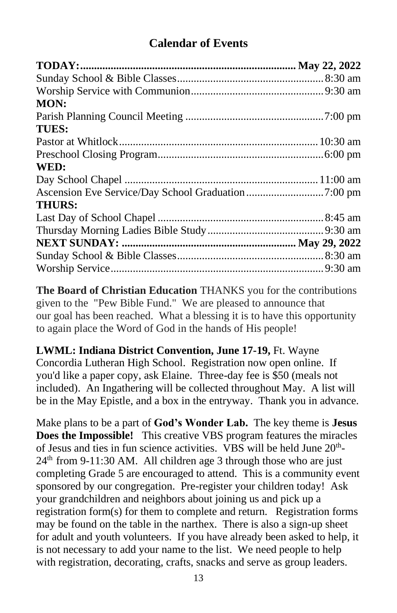## **Calendar of Events**

| <b>MON:</b>   |  |
|---------------|--|
|               |  |
| <b>TUES:</b>  |  |
|               |  |
|               |  |
| WED:          |  |
|               |  |
|               |  |
| <b>THURS:</b> |  |
|               |  |
|               |  |
|               |  |
|               |  |
|               |  |

**The Board of Christian Education** THANKS you for the contributions given to the "Pew Bible Fund." We are pleased to announce that our goal has been reached. What a blessing it is to have this opportunity to again place the Word of God in the hands of His people!

**LWML: Indiana District Convention, June 17-19,** Ft. Wayne Concordia Lutheran High School. Registration now open online. If you'd like a paper copy, ask Elaine. Three-day fee is \$50 (meals not included). An Ingathering will be collected throughout May. A list will be in the May Epistle, and a box in the entryway. Thank you in advance.

Make plans to be a part of **God's Wonder Lab.** The key theme is **Jesus Does the Impossible!** This creative VBS program features the miracles of Jesus and ties in fun science activities. VBS will be held June 20<sup>th</sup>- $24<sup>th</sup>$  from 9-11:30 AM. All children age 3 through those who are just completing Grade 5 are encouraged to attend. This is a community event sponsored by our congregation. Pre-register your children today! Ask your grandchildren and neighbors about joining us and pick up a registration form(s) for them to complete and return. Registration forms may be found on the table in the narthex. There is also a sign-up sheet for adult and youth volunteers. If you have already been asked to help, it is not necessary to add your name to the list. We need people to help with registration, decorating, crafts, snacks and serve as group leaders.